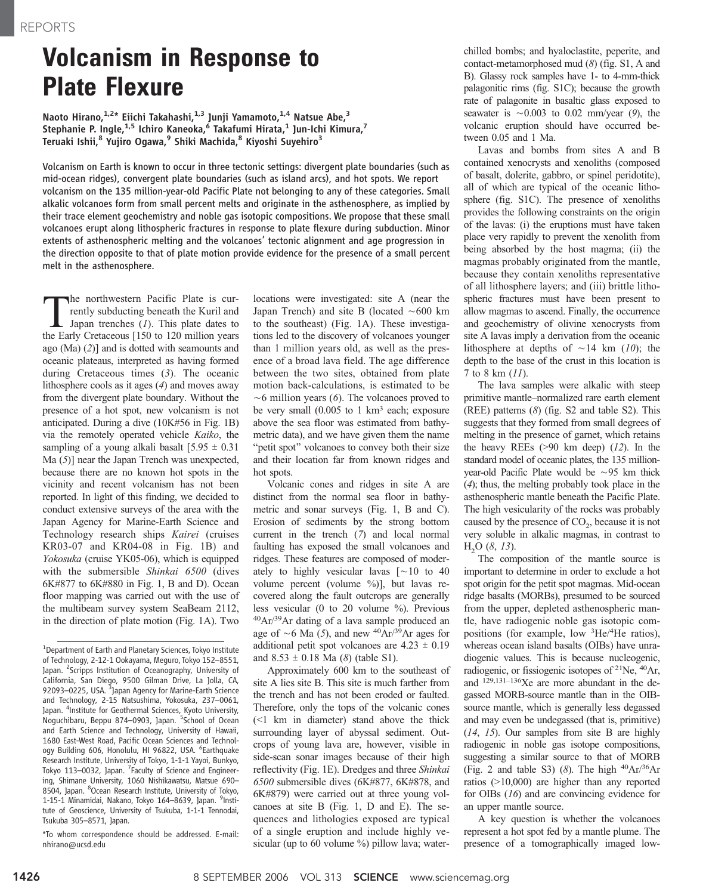## Volcanism in Response to Plate Flexure

Naoto Hirano, $1.2*$  Eiichi Takahashi, $1.3$  Junji Yamamoto, $1.4$  Natsue Abe, $3$ Stephanie P. Ingle,<sup>1,5</sup> Ichiro Kaneoka,<sup>6</sup> Takafumi Hirata,<sup>1</sup> Jun-Ichi Kimura,<sup>7</sup> Teruaki Ishii,<sup>8</sup> Yujiro Ogawa,<sup>9</sup> Shiki Machida,<sup>8</sup> Kiyoshi Suyehiro<sup>3</sup>

Volcanism on Earth is known to occur in three tectonic settings: divergent plate boundaries (such as mid-ocean ridges), convergent plate boundaries (such as island arcs), and hot spots. We report volcanism on the 135 million-year-old Pacific Plate not belonging to any of these categories. Small alkalic volcanoes form from small percent melts and originate in the asthenosphere, as implied by their trace element geochemistry and noble gas isotopic compositions. We propose that these small volcanoes erupt along lithospheric fractures in response to plate flexure during subduction. Minor extents of asthenospheric melting and the volcanoes' tectonic alignment and age progression in the direction opposite to that of plate motion provide evidence for the presence of a small percent melt in the asthenosphere.

The northwestern Pacific Plate is currently subducting beneath the Kuril and Japan trenches (*I*). This plate dates to the Early Cretaceous [150 to 120 million vears rently subducting beneath the Kuril and the Early Cretaceous [150 to 120 million years ago  $(Ma)$   $(2)$ ] and is dotted with seamounts and oceanic plateaus, interpreted as having formed during Cretaceous times (3). The oceanic lithosphere cools as it ages (4) and moves away from the divergent plate boundary. Without the presence of a hot spot, new volcanism is not anticipated. During a dive (10K#56 in Fig. 1B) via the remotely operated vehicle Kaiko, the sampling of a young alkali basalt  $[5.95 \pm 0.31]$  $Ma(5)$ ] near the Japan Trench was unexpected, because there are no known hot spots in the vicinity and recent volcanism has not been reported. In light of this finding, we decided to conduct extensive surveys of the area with the Japan Agency for Marine-Earth Science and Technology research ships Kairei (cruises KR03-07 and KR04-08 in Fig. 1B) and Yokosuka (cruise YK05-06), which is equipped with the submersible Shinkai 6500 (dives 6K#877 to 6K#880 in Fig. 1, B and D). Ocean floor mapping was carried out with the use of the multibeam survey system SeaBeam 2112, in the direction of plate motion (Fig. 1A). Two

\*To whom correspondence should be addressed. E-mail: nhirano@ucsd.edu

locations were investigated: site A (near the Japan Trench) and site B (located  $\sim 600$  km to the southeast) (Fig. 1A). These investigations led to the discovery of volcanoes younger than 1 million years old, as well as the presence of a broad lava field. The age difference between the two sites, obtained from plate motion back-calculations, is estimated to be  $\sim$ 6 million years (6). The volcanoes proved to be very small  $(0.005$  to 1 km<sup>3</sup> each; exposure above the sea floor was estimated from bathymetric data), and we have given them the name "petit spot" volcanoes to convey both their size and their location far from known ridges and hot spots.

Volcanic cones and ridges in site A are distinct from the normal sea floor in bathymetric and sonar surveys (Fig. 1, B and C). Erosion of sediments by the strong bottom current in the trench (7) and local normal faulting has exposed the small volcanoes and ridges. These features are composed of moderately to highly vesicular lavas  $\lceil$  ~10 to 40 volume percent (volume %)], but lavas recovered along the fault outcrops are generally less vesicular (0 to 20 volume %). Previous 40Ar/39Ar dating of a lava sample produced an age of  $\sim$  6 Ma (5), and new <sup>40</sup>Ar/<sup>39</sup>Ar ages for additional petit spot volcanoes are  $4.23 \pm 0.19$ and  $8.53 \pm 0.18$  Ma (8) (table S1).

Approximately 600 km to the southeast of site A lies site B. This site is much farther from the trench and has not been eroded or faulted. Therefore, only the tops of the volcanic cones  $(\leq 1$  km in diameter) stand above the thick surrounding layer of abyssal sediment. Outcrops of young lava are, however, visible in side-scan sonar images because of their high reflectivity (Fig. 1E). Dredges and three Shinkai 6500 submersible dives (6K#877, 6K#878, and 6K#879) were carried out at three young volcanoes at site B (Fig. 1, D and E). The sequences and lithologies exposed are typical of a single eruption and include highly vesicular (up to 60 volume %) pillow lava; water-

chilled bombs; and hyaloclastite, peperite, and contact-metamorphosed mud (8) (fig. S1, A and B). Glassy rock samples have 1- to 4-mm-thick palagonitic rims (fig. S1C); because the growth rate of palagonite in basaltic glass exposed to seawater is  $\sim 0.003$  to 0.02 mm/year (9), the volcanic eruption should have occurred between 0.05 and 1 Ma.

Lavas and bombs from sites A and B contained xenocrysts and xenoliths (composed of basalt, dolerite, gabbro, or spinel peridotite), all of which are typical of the oceanic lithosphere (fig. S1C). The presence of xenoliths provides the following constraints on the origin of the lavas: (i) the eruptions must have taken place very rapidly to prevent the xenolith from being absorbed by the host magma; (ii) the magmas probably originated from the mantle, because they contain xenoliths representative of all lithosphere layers; and (iii) brittle lithospheric fractures must have been present to allow magmas to ascend. Finally, the occurrence and geochemistry of olivine xenocrysts from site A lavas imply a derivation from the oceanic lithosphere at depths of  $\sim$ 14 km (10); the depth to the base of the crust in this location is 7 to 8 km (11).

The lava samples were alkalic with steep primitive mantle–normalized rare earth element (REE) patterns (8) (fig. S2 and table S2). This suggests that they formed from small degrees of melting in the presence of garnet, which retains the heavy REEs  $(>90 \text{ km} \text{ deep})$  (12). In the standard model of oceanic plates, the 135 millionyear-old Pacific Plate would be  $\sim$ 95 km thick (4); thus, the melting probably took place in the asthenospheric mantle beneath the Pacific Plate. The high vesicularity of the rocks was probably caused by the presence of  $CO<sub>2</sub>$ , because it is not very soluble in alkalic magmas, in contrast to  $H<sub>2</sub>O$  (8, 13).

The composition of the mantle source is important to determine in order to exclude a hot spot origin for the petit spot magmas. Mid-ocean ridge basalts (MORBs), presumed to be sourced from the upper, depleted asthenospheric mantle, have radiogenic noble gas isotopic compositions (for example, low 3He/4He ratios), whereas ocean island basalts (OIBs) have unradiogenic values. This is because nucleogenic, radiogenic, or fissiogenic isotopes of 21Ne, 40Ar, and 129,131–136Xe are more abundant in the degassed MORB-source mantle than in the OIBsource mantle, which is generally less degassed and may even be undegassed (that is, primitive) (14, 15). Our samples from site B are highly radiogenic in noble gas isotope compositions, suggesting a similar source to that of MORB (Fig. 2 and table S3)  $(8)$ . The high  $\frac{40}{\text{Ar}}\frac{36}{\text{Ar}}$ ratios (910,000) are higher than any reported for OIBs (16) and are convincing evidence for an upper mantle source.

A key question is whether the volcanoes represent a hot spot fed by a mantle plume. The presence of a tomographically imaged low-

<sup>&</sup>lt;sup>1</sup>Department of Earth and Planetary Sciences, Tokyo Institute of Technology, 2-12-1 Ookayama, Meguro, Tokyo 152–8551, Japan. <sup>2</sup>Scripps Institution of Oceanography, University of California, San Diego, 9500 Gilman Drive, La Jolla, CA, 92093-0225, USA.<sup>3</sup> Japan Agency for Marine-Earth Science and Technology, 2-15 Natsushima, Yokosuka, 237–0061, Japan. <sup>4</sup>Institute for Geothermal Sciences, Kyoto University, Noguchibaru, Beppu 874–0903, Japan. <sup>5</sup>School of Ocean and Earth Science and Technology, University of Hawaii, 1680 East-West Road, Pacific Ocean Sciences and Technology Building 606, Honolulu, HI 96822, USA. <sup>6</sup>Earthquake Research Institute, University of Tokyo, 1-1-1 Yayoi, Bunkyo, Tokyo 113–0032, Japan. <sup>7</sup> Faculty of Science and Engineering, Shimane University, 1060 Nishikawatsu, Matsue 690– 8504, Japan. <sup>8</sup>Ocean Research Institute, University of Tokyo, 1-15-1 Minamidai, Nakano, Tokyo 164-8639, Japan. 9Institute of Geoscience, University of Tsukuba, 1-1-1 Tennodai, Tsukuba 305–8571, Japan.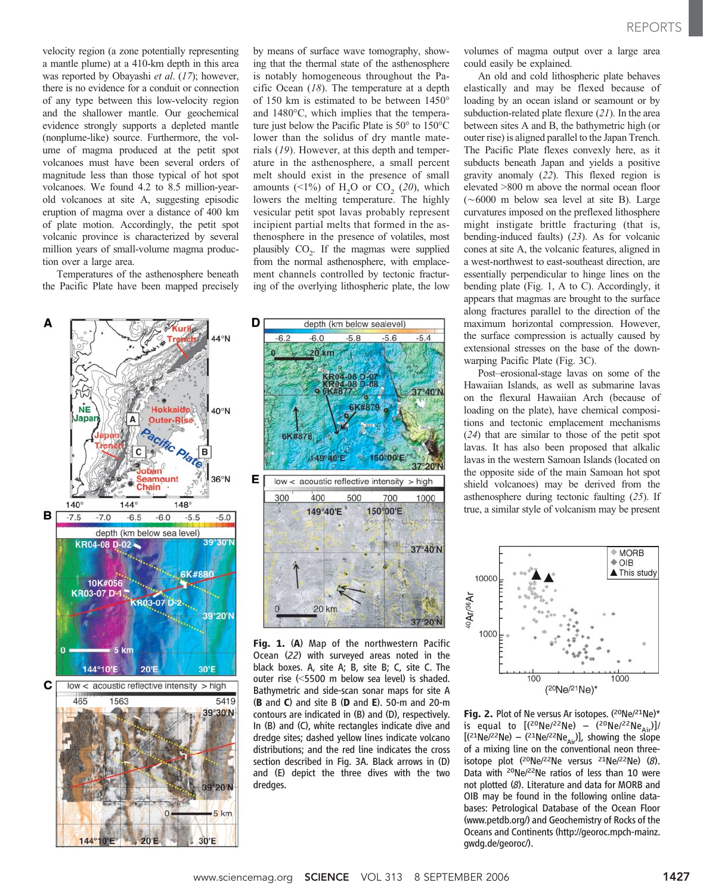REPORTS

velocity region (a zone potentially representing a mantle plume) at a 410-km depth in this area was reported by Obayashi et al. (17); however, there is no evidence for a conduit or connection of any type between this low-velocity region and the shallower mantle. Our geochemical evidence strongly supports a depleted mantle (nonplume-like) source. Furthermore, the volume of magma produced at the petit spot volcanoes must have been several orders of magnitude less than those typical of hot spot volcanoes. We found 4.2 to 8.5 million-yearold volcanoes at site A, suggesting episodic eruption of magma over a distance of 400 km of plate motion. Accordingly, the petit spot volcanic province is characterized by several million years of small-volume magma production over a large area.

Temperatures of the asthenosphere beneath the Pacific Plate have been mapped precisely





by means of surface wave tomography, showing that the thermal state of the asthenosphere is notably homogeneous throughout the Pacific Ocean  $(18)$ . The temperature at a depth of 150 km is estimated to be between 1450° and  $1480^{\circ}$ C, which implies that the temperature just below the Pacific Plate is  $50^{\circ}$  to  $150^{\circ}$ C lower than the solidus of dry mantle materials (19). However, at this depth and temperature in the asthenosphere, a small percent melt should exist in the presence of small amounts  $(\leq 1\%)$  of H<sub>2</sub>O or CO<sub>2</sub> (20), which lowers the melting temperature. The highly vesicular petit spot lavas probably represent incipient partial melts that formed in the asthenosphere in the presence of volatiles, most plausibly  $CO<sub>2</sub>$ . If the magmas were supplied from the normal asthenosphere, with emplacement channels controlled by tectonic fracturing of the overlying lithospheric plate, the low



Fig. 1. (A) Map of the northwestern Pacific Ocean (22) with surveyed areas noted in the black boxes. A, site A; B, site B; C, site C. The outer rise (<5500 m below sea level) is shaded. Bathymetric and side-scan sonar maps for site A (B and C) and site B (D and E). 50-m and 20-m contours are indicated in (B) and (D), respectively. In (B) and (C), white rectangles indicate dive and dredge sites; dashed yellow lines indicate volcano distributions; and the red line indicates the cross section described in Fig. 3A. Black arrows in (D) and (E) depict the three dives with the two dredges.

volumes of magma output over a large area could easily be explained.

An old and cold lithospheric plate behaves elastically and may be flexed because of loading by an ocean island or seamount or by subduction-related plate flexure  $(2I)$ . In the area between sites A and B, the bathymetric high (or outer rise) is aligned parallel to the Japan Trench. The Pacific Plate flexes convexly here, as it subducts beneath Japan and yields a positive gravity anomaly (22). This flexed region is elevated >800 m above the normal ocean floor  $(\sim 6000$  m below sea level at site B). Large curvatures imposed on the preflexed lithosphere might instigate brittle fracturing (that is, bending-induced faults) (23). As for volcanic cones at site A, the volcanic features, aligned in a west-northwest to east-southeast direction, are essentially perpendicular to hinge lines on the bending plate (Fig. 1, A to C). Accordingly, it appears that magmas are brought to the surface along fractures parallel to the direction of the maximum horizontal compression. However, the surface compression is actually caused by extensional stresses on the base of the downwarping Pacific Plate (Fig. 3C).

Post–erosional-stage lavas on some of the Hawaiian Islands, as well as submarine lavas on the flexural Hawaiian Arch (because of loading on the plate), have chemical compositions and tectonic emplacement mechanisms (24) that are similar to those of the petit spot lavas. It has also been proposed that alkalic lavas in the western Samoan Islands (located on the opposite side of the main Samoan hot spot shield volcanoes) may be derived from the asthenosphere during tectonic faulting (25). If true, a similar style of volcanism may be present



Fig. 2. Plot of Ne versus Ar isotopes. (20Ne/21Ne)\* is equal to  $[({}^{20}Ne/{}^{22}Ne) - ({}^{20}Ne/{}^{22}Ne_{Air})]$  $[(21Ne/22Ne) - (21Ne/22Ne_{Air})]$ , showing the slope of a mixing line on the conventional neon threeisotope plot (20Ne/22Ne versus 21Ne/22Ne) (8). Data with <sup>20</sup>Ne/<sup>22</sup>Ne ratios of less than 10 were not plotted (8). Literature and data for MORB and OIB may be found in the following online databases: Petrological Database of the Ocean Floor (www.petdb.org/) and Geochemistry of Rocks of the Oceans and Continents (http://georoc.mpch-mainz. gwdg.de/georoc/).